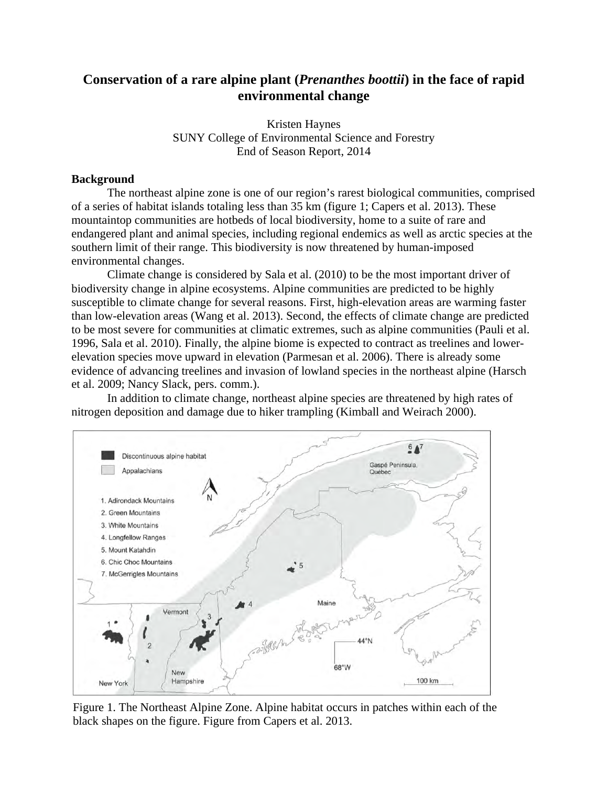# **Conservation of a rare alpine plant (***Prenanthes boottii***) in the face of rapid environmental change**

Kristen Haynes SUNY College of Environmental Science and Forestry End of Season Report, 2014

### **Background**

The northeast alpine zone is one of our region's rarest biological communities, comprised of a series of habitat islands totaling less than 35 km (figure 1; Capers et al. 2013). These mountaintop communities are hotbeds of local biodiversity, home to a suite of rare and endangered plant and animal species, including regional endemics as well as arctic species at the southern limit of their range. This biodiversity is now threatened by human-imposed environmental changes.

Climate change is considered by Sala et al. (2010) to be the most important driver of biodiversity change in alpine ecosystems. Alpine communities are predicted to be highly susceptible to climate change for several reasons. First, high-elevation areas are warming faster than low-elevation areas (Wang et al. 2013). Second, the effects of climate change are predicted to be most severe for communities at climatic extremes, such as alpine communities (Pauli et al. 1996, Sala et al. 2010). Finally, the alpine biome is expected to contract as treelines and lowerelevation species move upward in elevation (Parmesan et al. 2006). There is already some evidence of advancing treelines and invasion of lowland species in the northeast alpine (Harsch et al. 2009; Nancy Slack, pers. comm.).

In addition to climate change, northeast alpine species are threatened by high rates of nitrogen deposition and damage due to hiker trampling (Kimball and Weirach 2000).



Figure 1. The Northeast Alpine Zone. Alpine habitat occurs in patches within each of the black shapes on the figure. Figure from Capers et al. 2013.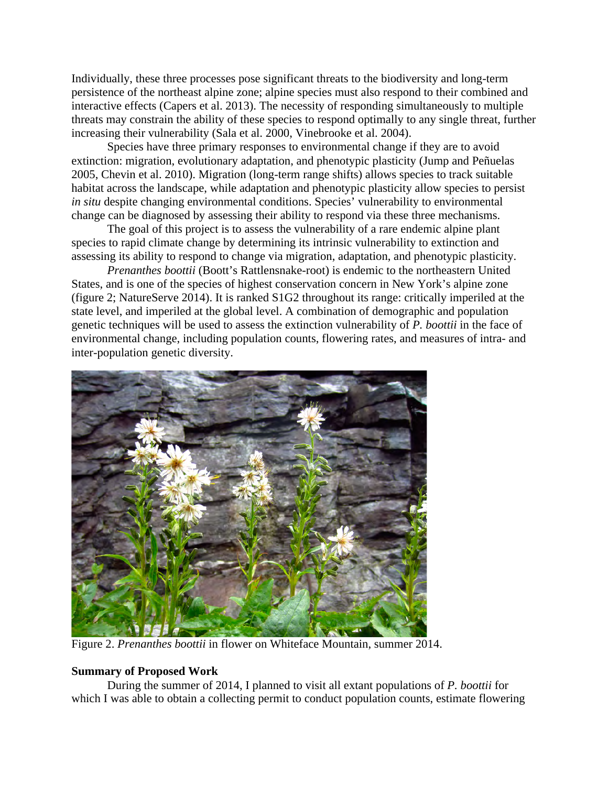Individually, these three processes pose significant threats to the biodiversity and long-term persistence of the northeast alpine zone; alpine species must also respond to their combined and interactive effects (Capers et al. 2013). The necessity of responding simultaneously to multiple threats may constrain the ability of these species to respond optimally to any single threat, further increasing their vulnerability (Sala et al. 2000, Vinebrooke et al. 2004).

Species have three primary responses to environmental change if they are to avoid extinction: migration, evolutionary adaptation, and phenotypic plasticity (Jump and Peñuelas 2005, Chevin et al. 2010). Migration (long-term range shifts) allows species to track suitable habitat across the landscape, while adaptation and phenotypic plasticity allow species to persist *in situ* despite changing environmental conditions. Species' vulnerability to environmental change can be diagnosed by assessing their ability to respond via these three mechanisms.

The goal of this project is to assess the vulnerability of a rare endemic alpine plant species to rapid climate change by determining its intrinsic vulnerability to extinction and assessing its ability to respond to change via migration, adaptation, and phenotypic plasticity.

*Prenanthes boottii* (Boott's Rattlensnake-root) is endemic to the northeastern United States, and is one of the species of highest conservation concern in New York's alpine zone (figure 2; NatureServe 2014). It is ranked S1G2 throughout its range: critically imperiled at the state level, and imperiled at the global level. A combination of demographic and population genetic techniques will be used to assess the extinction vulnerability of *P. boottii* in the face of environmental change, including population counts, flowering rates, and measures of intra- and inter-population genetic diversity.



Figure 2. *Prenanthes boottii* in flower on Whiteface Mountain, summer 2014.

## **Summary of Proposed Work**

During the summer of 2014, I planned to visit all extant populations of *P. boottii* for which I was able to obtain a collecting permit to conduct population counts, estimate flowering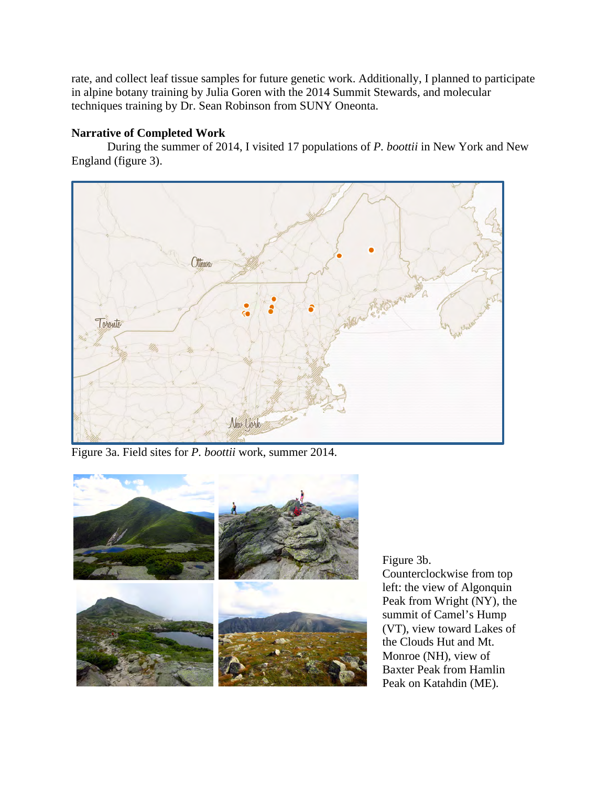rate, and collect leaf tissue samples for future genetic work. Additionally, I planned to participate in alpine botany training by Julia Goren with the 2014 Summit Stewards, and molecular techniques training by Dr. Sean Robinson from SUNY Oneonta.

# **Narrative of Completed Work**

During the summer of 2014, I visited 17 populations of *P. boottii* in New York and New England (figure 3).



Figure 3a. Field sites for *P. boottii* work, summer 2014.



Figure 3b.

Counterclockwise from top left: the view of Algonquin Peak from Wright (NY), the summit of Camel's Hump (VT), view toward Lakes of the Clouds Hut and Mt. Monroe (NH), view of Baxter Peak from Hamlin Peak on Katahdin (ME).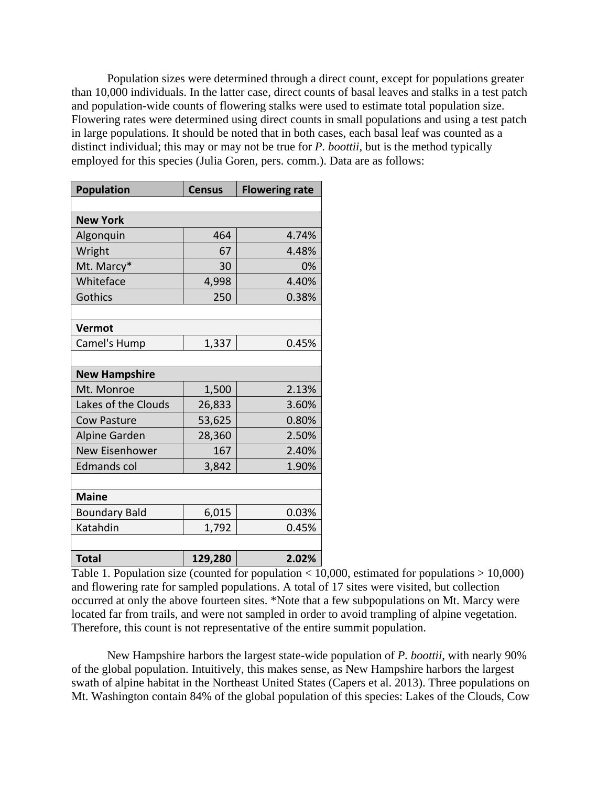Population sizes were determined through a direct count, except for populations greater than 10,000 individuals. In the latter case, direct counts of basal leaves and stalks in a test patch and population-wide counts of flowering stalks were used to estimate total population size. Flowering rates were determined using direct counts in small populations and using a test patch in large populations. It should be noted that in both cases, each basal leaf was counted as a distinct individual; this may or may not be true for *P. boottii*, but is the method typically employed for this species (Julia Goren, pers. comm.). Data are as follows:

| <b>Population</b>    | <b>Census</b> | <b>Flowering rate</b> |
|----------------------|---------------|-----------------------|
|                      |               |                       |
| <b>New York</b>      |               |                       |
| Algonquin            | 464           | 4.74%                 |
| Wright               | 67            | 4.48%                 |
| Mt. Marcy*           | 30            | 0%                    |
| Whiteface            | 4,998         | 4.40%                 |
| Gothics              | 250           | 0.38%                 |
|                      |               |                       |
| Vermot               |               |                       |
| Camel's Hump         | 1,337         | 0.45%                 |
|                      |               |                       |
| <b>New Hampshire</b> |               |                       |
| Mt. Monroe           | 1,500         | 2.13%                 |
| Lakes of the Clouds  | 26,833        | 3.60%                 |
| <b>Cow Pasture</b>   | 53,625        | 0.80%                 |
| Alpine Garden        | 28,360        | 2.50%                 |
| New Eisenhower       | 167           | 2.40%                 |
| <b>Edmands col</b>   | 3,842         | 1.90%                 |
|                      |               |                       |
| <b>Maine</b>         |               |                       |
| <b>Boundary Bald</b> | 6,015         | 0.03%                 |
| Katahdin             | 1,792         | 0.45%                 |
|                      |               |                       |
| <b>Total</b>         | 129,280       | 2.02%                 |

Table 1. Population size (counted for population  $< 10,000$ , estimated for populations  $> 10,000$ ) and flowering rate for sampled populations. A total of 17 sites were visited, but collection occurred at only the above fourteen sites. \*Note that a few subpopulations on Mt. Marcy were located far from trails, and were not sampled in order to avoid trampling of alpine vegetation. Therefore, this count is not representative of the entire summit population.

New Hampshire harbors the largest state-wide population of *P. boottii*, with nearly 90% of the global population. Intuitively, this makes sense, as New Hampshire harbors the largest swath of alpine habitat in the Northeast United States (Capers et al. 2013). Three populations on Mt. Washington contain 84% of the global population of this species: Lakes of the Clouds, Cow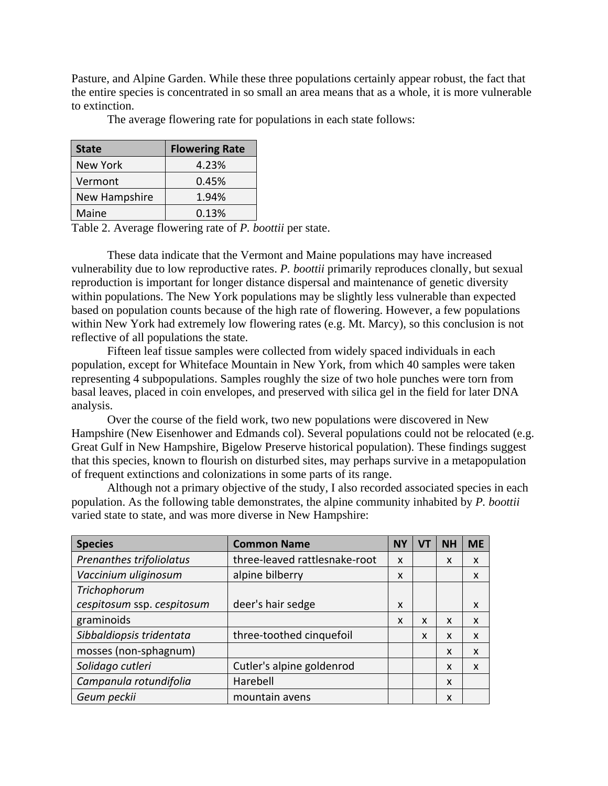Pasture, and Alpine Garden. While these three populations certainly appear robust, the fact that the entire species is concentrated in so small an area means that as a whole, it is more vulnerable to extinction.

The average flowering rate for populations in each state follows:

| <b>State</b>    | <b>Flowering Rate</b> |
|-----------------|-----------------------|
| <b>New York</b> | 4.23%                 |
| Vermont         | 0.45%                 |
| New Hampshire   | 1.94%                 |
| Maine           | 0.13%                 |

Table 2. Average flowering rate of *P. boottii* per state.

These data indicate that the Vermont and Maine populations may have increased vulnerability due to low reproductive rates. *P. boottii* primarily reproduces clonally, but sexual reproduction is important for longer distance dispersal and maintenance of genetic diversity within populations. The New York populations may be slightly less vulnerable than expected based on population counts because of the high rate of flowering. However, a few populations within New York had extremely low flowering rates (e.g. Mt. Marcy), so this conclusion is not reflective of all populations the state.

Fifteen leaf tissue samples were collected from widely spaced individuals in each population, except for Whiteface Mountain in New York, from which 40 samples were taken representing 4 subpopulations. Samples roughly the size of two hole punches were torn from basal leaves, placed in coin envelopes, and preserved with silica gel in the field for later DNA analysis.

Over the course of the field work, two new populations were discovered in New Hampshire (New Eisenhower and Edmands col). Several populations could not be relocated (e.g. Great Gulf in New Hampshire, Bigelow Preserve historical population). These findings suggest that this species, known to flourish on disturbed sites, may perhaps survive in a metapopulation of frequent extinctions and colonizations in some parts of its range.

Although not a primary objective of the study, I also recorded associated species in each population. As the following table demonstrates, the alpine community inhabited by *P. boottii*  varied state to state, and was more diverse in New Hampshire:

| <b>Species</b>             | <b>Common Name</b>            | NΥ | V | <b>NH</b> | <b>ME</b> |
|----------------------------|-------------------------------|----|---|-----------|-----------|
| Prenanthes trifoliolatus   | three-leaved rattlesnake-root | X  |   | X         | X         |
| Vaccinium uliginosum       | alpine bilberry               | X  |   |           | X         |
| Trichophorum               |                               |    |   |           |           |
| cespitosum ssp. cespitosum | deer's hair sedge             | X  |   |           | X         |
| graminoids                 |                               | X  | X | X         | X         |
| Sibbaldiopsis tridentata   | three-toothed cinquefoil      |    | X | X         | X         |
| mosses (non-sphagnum)      |                               |    |   | X         | X         |
| Solidago cutleri           | Cutler's alpine goldenrod     |    |   | X         | X         |
| Campanula rotundifolia     | Harebell                      |    |   | X         |           |
| Geum peckii                | mountain avens                |    |   | X         |           |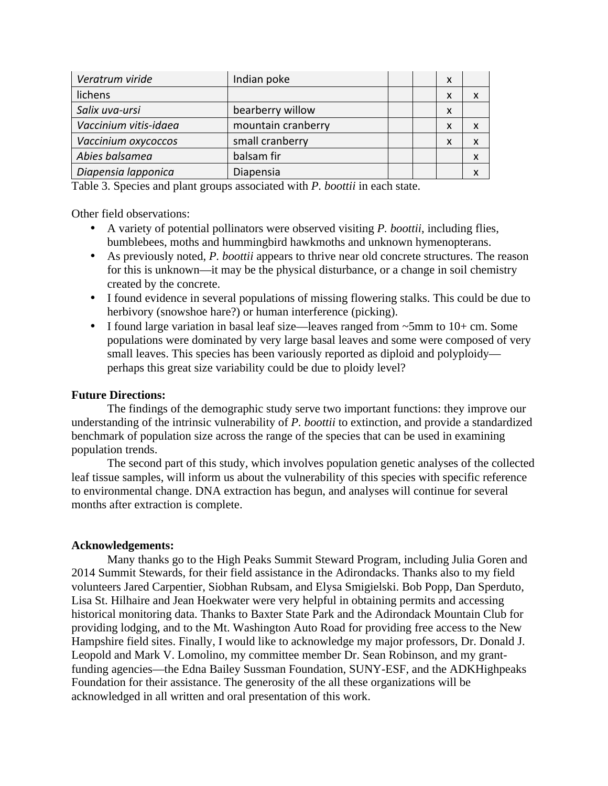| Veratrum viride       | Indian poke        |  | X |  |
|-----------------------|--------------------|--|---|--|
| lichens               |                    |  | x |  |
| Salix uva-ursi        | bearberry willow   |  | X |  |
| Vaccinium vitis-idaea | mountain cranberry |  | x |  |
| Vaccinium oxycoccos   | small cranberry    |  | X |  |
| Abies balsamea        | balsam fir         |  |   |  |
| Diapensia lapponica   | Diapensia          |  |   |  |

Table 3. Species and plant groups associated with *P. boottii* in each state.

Other field observations:

- A variety of potential pollinators were observed visiting *P. boottii*, including flies, bumblebees, moths and hummingbird hawkmoths and unknown hymenopterans.
- As previously noted, *P. boottii* appears to thrive near old concrete structures. The reason for this is unknown—it may be the physical disturbance, or a change in soil chemistry created by the concrete.
- I found evidence in several populations of missing flowering stalks. This could be due to herbivory (snowshoe hare?) or human interference (picking).
- I found large variation in basal leaf size—leaves ranged from ~5mm to 10+ cm. Some populations were dominated by very large basal leaves and some were composed of very small leaves. This species has been variously reported as diploid and polyploidy perhaps this great size variability could be due to ploidy level?

### **Future Directions:**

The findings of the demographic study serve two important functions: they improve our understanding of the intrinsic vulnerability of *P. boottii* to extinction, and provide a standardized benchmark of population size across the range of the species that can be used in examining population trends.

The second part of this study, which involves population genetic analyses of the collected leaf tissue samples, will inform us about the vulnerability of this species with specific reference to environmental change. DNA extraction has begun, and analyses will continue for several months after extraction is complete.

### **Acknowledgements:**

Many thanks go to the High Peaks Summit Steward Program, including Julia Goren and 2014 Summit Stewards, for their field assistance in the Adirondacks. Thanks also to my field volunteers Jared Carpentier, Siobhan Rubsam, and Elysa Smigielski. Bob Popp, Dan Sperduto, Lisa St. Hilhaire and Jean Hoekwater were very helpful in obtaining permits and accessing historical monitoring data. Thanks to Baxter State Park and the Adirondack Mountain Club for providing lodging, and to the Mt. Washington Auto Road for providing free access to the New Hampshire field sites. Finally, I would like to acknowledge my major professors, Dr. Donald J. Leopold and Mark V. Lomolino, my committee member Dr. Sean Robinson, and my grantfunding agencies—the Edna Bailey Sussman Foundation, SUNY-ESF, and the ADKHighpeaks Foundation for their assistance. The generosity of the all these organizations will be acknowledged in all written and oral presentation of this work.